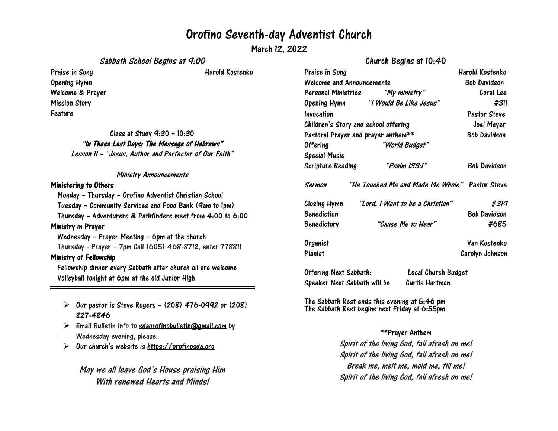### Orofino Seventh-day Adventist Church

March 12, 2022

Sabbath School Begins at 9:00

### Church Begins at 10:40

| Praise in Song                                               | Harold Kostenko                                      | Praise in Song                                             |                            |
|--------------------------------------------------------------|------------------------------------------------------|------------------------------------------------------------|----------------------------|
| <b>Opening Hymn</b>                                          |                                                      | Welcome and Announcemen                                    |                            |
| Welcome & Prayer                                             |                                                      |                                                            | <b>Personal Ministries</b> |
| <b>Mission Story</b>                                         |                                                      | <b>Opening Hymn</b>                                        | "I Wc                      |
| Feature                                                      |                                                      | Invocation                                                 |                            |
|                                                              |                                                      | Children's Story and school                                |                            |
| Class at Study 9:30 - 10:30                                  | Pastoral Prayer and prayer                           |                                                            |                            |
| "In These Last Days: The Message of Hebrews"                 | <b>Offering</b>                                      |                                                            |                            |
| Lesson II - "Jesus, Author and Perfecter of Our Faith"       |                                                      | <b>Special Music</b>                                       |                            |
|                                                              |                                                      | <b>Scripture Reading</b>                                   |                            |
| <b>Ministry Announcements</b>                                |                                                      |                                                            |                            |
| <b>Ministering to Others</b>                                 |                                                      | Sermon                                                     | "He Touche                 |
| Monday - Thursday - Orofino Adventist Christian School       |                                                      |                                                            |                            |
| Tuesday - Community Services and Food Bank (9am to 1pm)      |                                                      | Closing Hymn                                               | "Lord, I                   |
| Thursday - Adventurers & Pathfinders meet from 4:00 to 6:00  |                                                      | <b>Benediction</b>                                         |                            |
| Ministry in Prayer                                           |                                                      | Benedictory                                                | "C                         |
| Wednesday - Prayer Meeting - 6pm at the church               |                                                      |                                                            |                            |
| Thursday - Prayer - 7pm Call (605) 468-8712, enter 778811    |                                                      | Organist                                                   |                            |
| <b>Ministry of Fellowship</b>                                | Pianist                                              |                                                            |                            |
| Fellowship dinner every Sabbath after church all are welcome |                                                      |                                                            |                            |
| Volleyball tonight at 6pm at the old Junior High             |                                                      | <b>Offering Next Sabbath:</b><br>Speaker Next Sabbath will |                            |
|                                                              |                                                      |                                                            |                            |
| ➤                                                            | Our pastor is Steve Rogers - (208) 476-0992 or (208) | The Sabbath Rest ends this<br>Tha Cahhath Pact haning na   |                            |

# 827-4846

- $\triangleright$  Email Bulletin info to [sdaorofinobulletin@gmail.com](mailto:sdaorofinobulletin@gmail.com) by Wednesday evening, please.
- $\triangleright$ Our church's website is [https://orofinosda.org](https://orofinosda.org/)

May we all leave God's House praising Him With renewed Hearts and Minds!

| Praise in Song                       |                                      |                                                | Harold Kostenko<br>Bob Davidson |  |
|--------------------------------------|--------------------------------------|------------------------------------------------|---------------------------------|--|
| Welcome and Announcements            |                                      |                                                |                                 |  |
|                                      |                                      |                                                | Coral Lee                       |  |
|                                      | Opening Hymn "I Would Be Like Jesus" |                                                | #311                            |  |
| Invocation                           |                                      |                                                | <b>Pastor Steve</b>             |  |
| Children's Story and school offering | Joel Meyer                           |                                                |                                 |  |
| Pastoral Prayer and prayer anthem**  |                                      |                                                | <b>Bob Davidson</b>             |  |
| Offering<br>"World Budget"           |                                      |                                                |                                 |  |
| Special Music                        |                                      |                                                |                                 |  |
| Scripture Reading                    |                                      | "Psalm 133:1"                                  | Bob Davidson                    |  |
| Sermon                               |                                      | "He Touched Me and Made Me Whole" Pastor Steve |                                 |  |
| Closing Hymn                         |                                      | "Lord, I Want to be a Christian"               |                                 |  |
| Benediction                          |                                      |                                                | <b>Bob Davidson</b>             |  |
| Benedictory                          |                                      | "Cause Me to Hear"                             |                                 |  |
| Organist                             |                                      |                                                | Van Kostenko                    |  |
| Pianist                              |                                      |                                                | Carolyn Johnson                 |  |
| Offering Next Sabbath:               |                                      | Local Church Budget                            |                                 |  |
|                                      | Speaker Next Sabbath will be         | Curtis Hartman                                 |                                 |  |

evening at 5:46 pm The Sabbath Rest begins next Friday at 6:55pm

#### \*\*Prayer Anthem

Spirit of the living God, fall afresh on me! Spirit of the living God, fall afresh on me! Break me, melt me, mold me, fill me! Spirit of the living God, fall afresh on me!